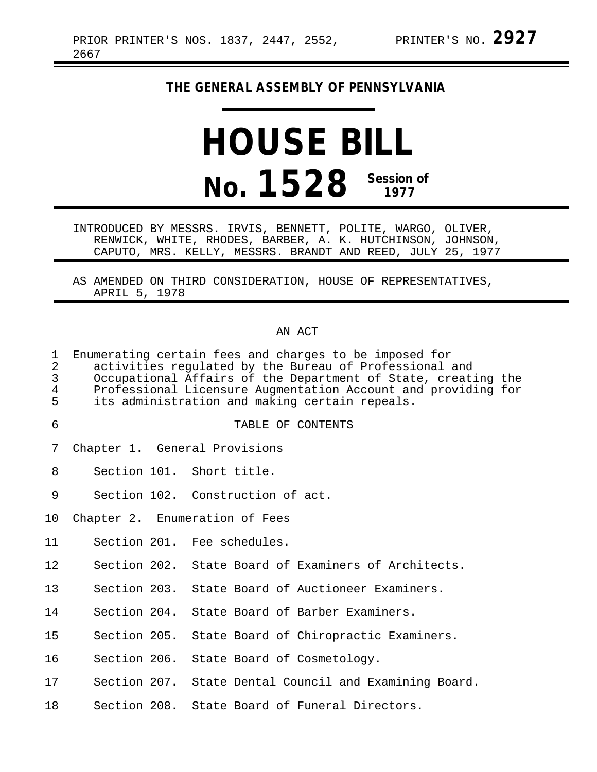## **THE GENERAL ASSEMBLY OF PENNSYLVANIA**

# **HOUSE BILL No. 1528 Session of 1977**

INTRODUCED BY MESSRS. IRVIS, BENNETT, POLITE, WARGO, OLIVER, RENWICK, WHITE, RHODES, BARBER, A. K. HUTCHINSON, JOHNSON, CAPUTO, MRS. KELLY, MESSRS. BRANDT AND REED, JULY 25, 1977

AS AMENDED ON THIRD CONSIDERATION, HOUSE OF REPRESENTATIVES, APRIL 5, 1978

#### AN ACT

| 1<br>2<br>$\overline{3}$<br>$\overline{4}$<br>5 | Enumerating certain fees and charges to be imposed for<br>activities regulated by the Bureau of Professional and<br>Occupational Affairs of the Department of State, creating the<br>Professional Licensure Augmentation Account and providing for<br>its administration and making certain repeals. |
|-------------------------------------------------|------------------------------------------------------------------------------------------------------------------------------------------------------------------------------------------------------------------------------------------------------------------------------------------------------|
| 6                                               | TABLE OF CONTENTS                                                                                                                                                                                                                                                                                    |
| 7                                               | Chapter 1. General Provisions                                                                                                                                                                                                                                                                        |
| 8                                               | Section 101. Short title.                                                                                                                                                                                                                                                                            |
| $\mathsf 9$                                     | Section 102. Construction of act.                                                                                                                                                                                                                                                                    |
| 10                                              | Chapter 2. Enumeration of Fees                                                                                                                                                                                                                                                                       |
| 11                                              | Section 201. Fee schedules.                                                                                                                                                                                                                                                                          |
| 12                                              | Section 202. State Board of Examiners of Architects.                                                                                                                                                                                                                                                 |
| 13                                              | Section 203. State Board of Auctioneer Examiners.                                                                                                                                                                                                                                                    |
| 14                                              | Section 204. State Board of Barber Examiners.                                                                                                                                                                                                                                                        |
| 15                                              | Section 205. State Board of Chiropractic Examiners.                                                                                                                                                                                                                                                  |
| 16                                              | Section 206. State Board of Cosmetology.                                                                                                                                                                                                                                                             |
| 17                                              | Section 207. State Dental Council and Examining Board.                                                                                                                                                                                                                                               |
| 18                                              | Section 208. State Board of Funeral Directors.                                                                                                                                                                                                                                                       |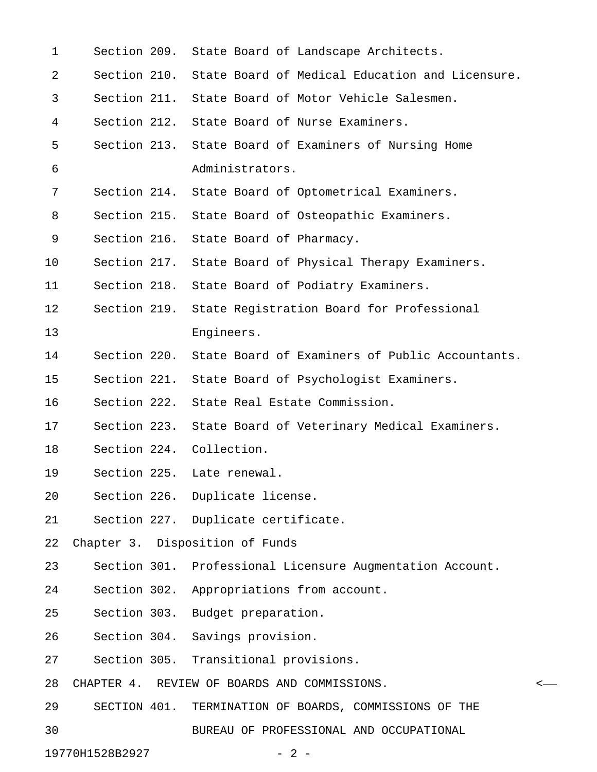| $\mathbf 1$ |              | Section 209. State Board of Landscape Architects.            |   |
|-------------|--------------|--------------------------------------------------------------|---|
| 2           |              | Section 210. State Board of Medical Education and Licensure. |   |
| 3           |              | Section 211. State Board of Motor Vehicle Salesmen.          |   |
| 4           | Section 212. | State Board of Nurse Examiners.                              |   |
| 5           |              | Section 213. State Board of Examiners of Nursing Home        |   |
| 6           |              | Administrators.                                              |   |
| 7           | Section 214. | State Board of Optometrical Examiners.                       |   |
| 8           |              | Section 215. State Board of Osteopathic Examiners.           |   |
| 9           | Section 216. | State Board of Pharmacy.                                     |   |
| 10          |              | Section 217. State Board of Physical Therapy Examiners.      |   |
| 11          | Section 218. | State Board of Podiatry Examiners.                           |   |
| 12          | Section 219. | State Registration Board for Professional                    |   |
| 13          |              | Engineers.                                                   |   |
| 14          | Section 220. | State Board of Examiners of Public Accountants.              |   |
| 15          | Section 221. | State Board of Psychologist Examiners.                       |   |
| 16          | Section 222. | State Real Estate Commission.                                |   |
| 17          |              | Section 223. State Board of Veterinary Medical Examiners.    |   |
| 18          |              | Section 224. Collection.                                     |   |
| 19          |              | Section 225. Late renewal.                                   |   |
| 20          |              | Section 226. Duplicate license.                              |   |
| 21          |              | Section 227. Duplicate certificate.                          |   |
| 22          |              | Chapter 3. Disposition of Funds                              |   |
| 23          |              | Section 301. Professional Licensure Augmentation Account.    |   |
| 24          | Section 302. | Appropriations from account.                                 |   |
| 25          | Section 303. | Budget preparation.                                          |   |
| 26          | Section 304. | Savings provision.                                           |   |
| 27          |              | Section 305. Transitional provisions.                        |   |
| 28          |              | CHAPTER 4. REVIEW OF BOARDS AND COMMISSIONS.                 | < |
| 29          | SECTION 401. | TERMINATION OF BOARDS, COMMISSIONS OF THE                    |   |
| 30          |              | BUREAU OF PROFESSIONAL AND OCCUPATIONAL                      |   |
|             |              |                                                              |   |

19770H1528B2927 - 2 -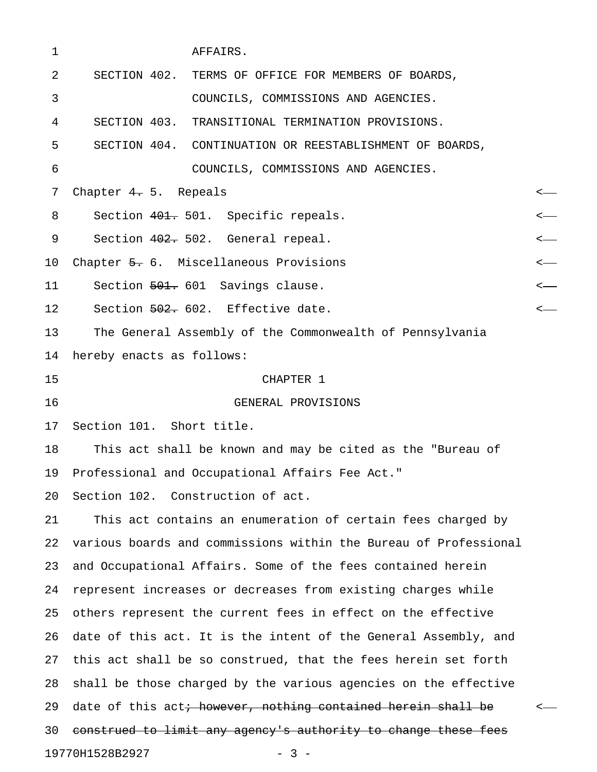| $\mathbf 1$ | AFFAIRS.                                                                 |                  |
|-------------|--------------------------------------------------------------------------|------------------|
| 2           | SECTION 402. TERMS OF OFFICE FOR MEMBERS OF BOARDS,                      |                  |
| 3           | COUNCILS, COMMISSIONS AND AGENCIES.                                      |                  |
| 4           | SECTION 403. TRANSITIONAL TERMINATION PROVISIONS.                        |                  |
| 5           | SECTION 404. CONTINUATION OR REESTABLISHMENT OF BOARDS,                  |                  |
| 6           | COUNCILS, COMMISSIONS AND AGENCIES.                                      |                  |
| 7           | Chapter $4.5.$ Repeals                                                   |                  |
| 8           | Section 401. 501. Specific repeals.                                      |                  |
| 9           | Section 402. 502. General repeal.                                        |                  |
| 10          | Chapter 5. 6. Miscellaneous Provisions                                   |                  |
| 11          | Section 501. 601 Savings clause.                                         | $\longleftarrow$ |
| 12          | Section 502. 602. Effective date.                                        | $\longleftarrow$ |
| 13          | The General Assembly of the Commonwealth of Pennsylvania                 |                  |
| 14          | hereby enacts as follows:                                                |                  |
| 15          | CHAPTER 1                                                                |                  |
| 16          | GENERAL PROVISIONS                                                       |                  |
| 17          | Section 101. Short title.                                                |                  |
| 18          | This act shall be known and may be cited as the "Bureau of               |                  |
|             | 19 Professional and Occupational Affairs Fee Act."                       |                  |
| 20          | Section 102. Construction of act.                                        |                  |
| 21          | This act contains an enumeration of certain fees charged by              |                  |
| 22          | various boards and commissions within the Bureau of Professional         |                  |
| 23          | and Occupational Affairs. Some of the fees contained herein              |                  |
| 24          | represent increases or decreases from existing charges while             |                  |
| 25          | others represent the current fees in effect on the effective             |                  |
| 26          | date of this act. It is the intent of the General Assembly, and          |                  |
| 27          | this act shall be so construed, that the fees herein set forth           |                  |
| 28          | shall be those charged by the various agencies on the effective          |                  |
| 29          | date of this act <del>; however, nothing contained herein shall be</del> |                  |
| 30          | construed to limit any agency's authority to change these fees           |                  |
|             | 19770H1528B2927<br>$-3 -$                                                |                  |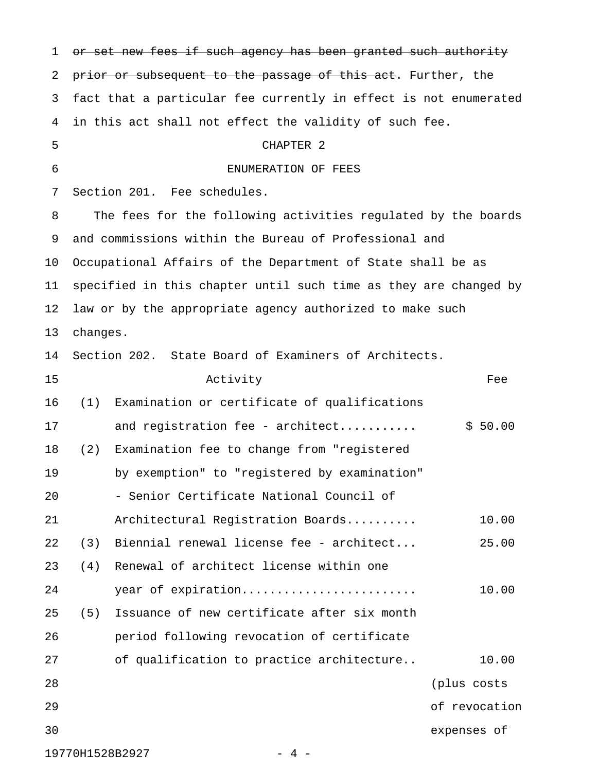1 or set new fees if such agency has been granted such authority 2 prior or subsequent to the passage of this act. Further, the 3 fact that a particular fee currently in effect is not enumerated 4 in this act shall not effect the validity of such fee. 5 CHAPTER 2 6 ENUMERATION OF FEES 7 Section 201. Fee schedules. 8 The fees for the following activities regulated by the boards 9 and commissions within the Bureau of Professional and 10 Occupational Affairs of the Department of State shall be as 11 specified in this chapter until such time as they are changed by 12 law or by the appropriate agency authorized to make such 13 changes. 14 Section 202. State Board of Examiners of Architects. 15 Activity Fee 16 (1) Examination or certificate of qualifications 17 and registration fee - architect........... \$ 50.00 18 (2) Examination fee to change from "registered 19 by exemption" to "registered by examination" 20 - Senior Certificate National Council of 21 Architectural Registration Boards.......... 10.00 22 (3) Biennial renewal license fee - architect... 25.00 23 (4) Renewal of architect license within one 24 year of expiration......................... 10.00 25 (5) Issuance of new certificate after six month 26 period following revocation of certificate 27 of qualification to practice architecture.. 20.00 28 (plus costs 29 of revocation 30 expenses of

19770H1528B2927 - 4 -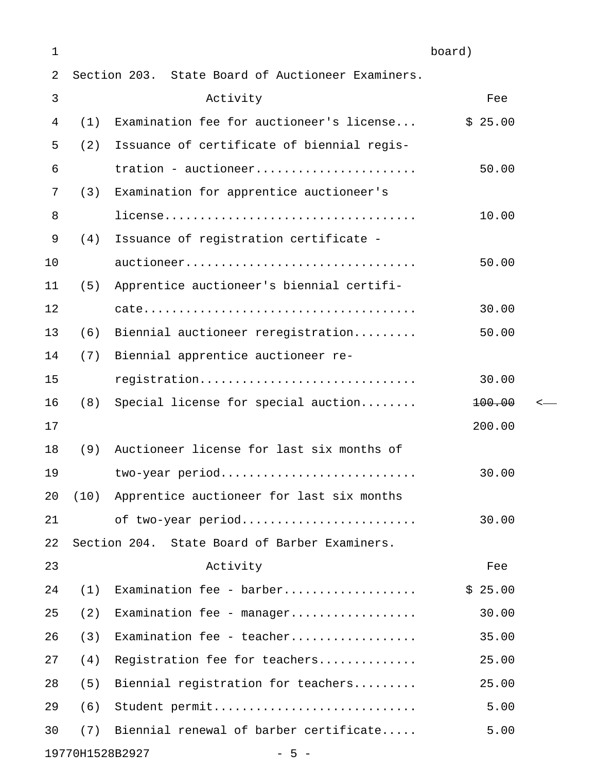| 1  |      |                                                   | board)  |  |
|----|------|---------------------------------------------------|---------|--|
| 2  |      | Section 203. State Board of Auctioneer Examiners. |         |  |
| 3  |      | Activity                                          | Fee     |  |
| 4  | (1)  | Examination fee for auctioneer's license          | \$25.00 |  |
| 5  | (2)  | Issuance of certificate of biennial regis-        |         |  |
| 6  |      | tration - auctioneer                              | 50.00   |  |
| 7  | (3)  | Examination for apprentice auctioneer's           |         |  |
| 8  |      |                                                   | 10.00   |  |
| 9  | (4)  | Issuance of registration certificate -            |         |  |
| 10 |      | auctioneer                                        | 50.00   |  |
| 11 | (5)  | Apprentice auctioneer's biennial certifi-         |         |  |
| 12 |      |                                                   | 30.00   |  |
| 13 | (6)  | Biennial auctioneer reregistration                | 50.00   |  |
| 14 | (7)  | Biennial apprentice auctioneer re-                |         |  |
| 15 |      | registration                                      | 30.00   |  |
| 16 | (8)  | Special license for special auction               | 100.00  |  |
| 17 |      |                                                   | 200.00  |  |
| 18 | (9)  | Auctioneer license for last six months of         |         |  |
| 19 |      | two-year period                                   | 30.00   |  |
| 20 | (10) | Apprentice auctioneer for last six months         |         |  |
| 21 |      | of two-year period                                | 30.00   |  |
| 22 |      | Section 204. State Board of Barber Examiners.     |         |  |
| 23 |      | Activity                                          | Fee     |  |
| 24 | (1)  | Examination fee - barber                          | \$25.00 |  |
| 25 | (2)  | Examination fee - manager                         | 30.00   |  |
| 26 | (3)  | Examination fee - teacher                         | 35.00   |  |
| 27 | (4)  | Registration fee for teachers                     | 25.00   |  |
| 28 | (5)  | Biennial registration for teachers                | 25.00   |  |
| 29 | (6)  | Student permit                                    | 5.00    |  |
| 30 | (7)  | Biennial renewal of barber certificate            | 5.00    |  |
|    |      |                                                   |         |  |

19770H1528B2927 - 5 -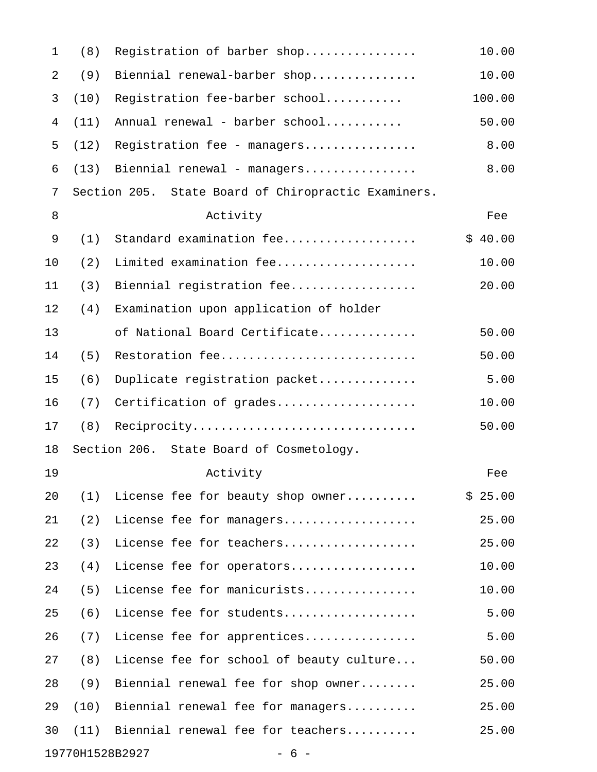| $\mathbf 1$ | (8)  | Registration of barber shop                         | 10.00   |
|-------------|------|-----------------------------------------------------|---------|
| 2           | (9)  | Biennial renewal-barber shop                        | 10.00   |
| 3           | (10) | Registration fee-barber school                      | 100.00  |
| 4           | (11) | Annual renewal - barber school                      | 50.00   |
| 5           | (12) | Registration fee - managers                         | 8.00    |
| 6           | (13) | Biennial renewal - managers                         | 8.00    |
| 7           |      | Section 205. State Board of Chiropractic Examiners. |         |
| $\,8\,$     |      | Activity                                            | Fee     |
| 9           | (1)  | Standard examination fee                            | \$40.00 |
| 10          | (2)  | Limited examination fee                             | 10.00   |
| 11          | (3)  | Biennial registration fee                           | 20.00   |
| 12          | (4)  | Examination upon application of holder              |         |
| 13          |      | of National Board Certificate                       | 50.00   |
| 14          | (5)  | Restoration fee                                     | 50.00   |
| 15          | (6)  | Duplicate registration packet                       | 5.00    |
| 16          | (7)  | Certification of grades                             | 10.00   |
| 17          | (8)  | Reciprocity                                         | 50.00   |
| 18          |      | Section 206. State Board of Cosmetology.            |         |
| 19          |      | Activity                                            | Fee     |
| 20          | (1)  | License fee for beauty shop owner                   | \$25.00 |
| 21          | (2)  | License fee for managers                            | 25.00   |
| 22          | (3)  | License fee for teachers                            | 25.00   |
| 23          | (4)  | License fee for operators                           | 10.00   |
| 24          | (5)  | License fee for manicurists                         | 10.00   |
| 25          | (6)  | License fee for students                            | 5.00    |
| 26          | (7)  | License fee for apprentices                         | 5.00    |
| 27          | (8)  | License fee for school of beauty culture            | 50.00   |
| 28          | (9)  | Biennial renewal fee for shop owner                 | 25.00   |
| 29          | (10) | Biennial renewal fee for managers                   | 25.00   |
| 30          | (11) | Biennial renewal fee for teachers                   | 25.00   |
|             |      | 19770H1528B2927<br>$-6-$                            |         |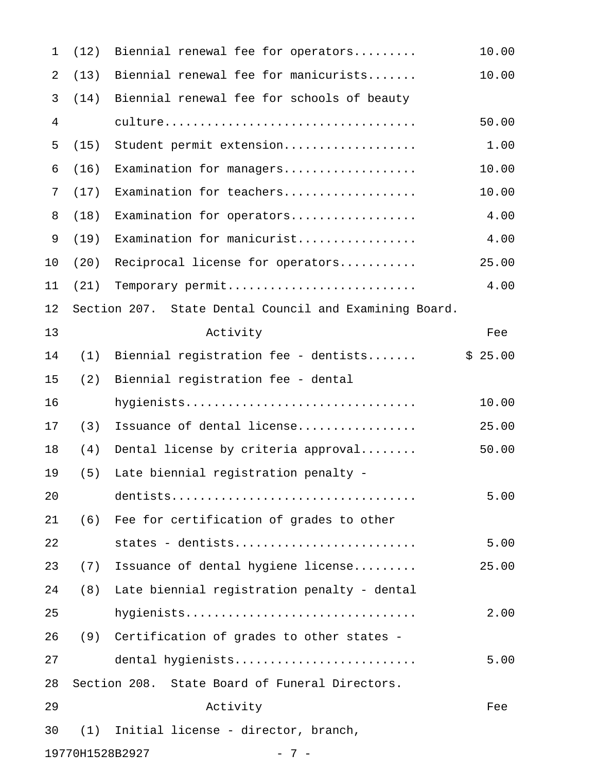| $\mathbf{1}$   | (12) | Biennial renewal fee for operators                     | 10.00   |
|----------------|------|--------------------------------------------------------|---------|
| $\overline{2}$ | (13) | Biennial renewal fee for manicurists                   | 10.00   |
| 3              | (14) | Biennial renewal fee for schools of beauty             |         |
| 4              |      |                                                        | 50.00   |
| 5              | (15) | Student permit extension                               | 1.00    |
| 6              | (16) | Examination for managers                               | 10.00   |
| 7              | (17) | Examination for teachers                               | 10.00   |
| 8              | (18) | Examination for operators                              | 4.00    |
| 9              | (19) | Examination for manicurist                             | 4.00    |
| 10             | (20) | Reciprocal license for operators                       | 25.00   |
| 11             | (21) | Temporary permit                                       | 4.00    |
| 12             |      | Section 207. State Dental Council and Examining Board. |         |
| 13             |      | Activity                                               | Fee     |
| 14             | (1)  | Biennial registration fee - dentists                   | \$25.00 |
| 15             | (2)  | Biennial registration fee - dental                     |         |
| 16             |      | hygienists                                             | 10.00   |
| 17             | (3)  | Issuance of dental license                             | 25.00   |
| 18             | (4)  | Dental license by criteria approval                    | 50.00   |
| 19             | (5)  | Late biennial registration penalty -                   |         |
| 20             |      |                                                        | 5.00    |
| 21             | (6)  | Fee for certification of grades to other               |         |
| 22             |      | states - dentists                                      | 5.00    |
| 23             | (7)  | Issuance of dental hygiene license                     | 25.00   |
| 24             | (8)  | Late biennial registration penalty - dental            |         |
| 25             |      | hygienists                                             | 2.00    |
| 26             | (9)  | Certification of grades to other states -              |         |
| 27             |      | dental hygienists                                      | 5.00    |
| 28             |      | Section 208. State Board of Funeral Directors.         |         |
| 29             |      | Activity                                               | Fee     |
| 30             | (1)  | Initial license - director, branch,                    |         |
|                |      | 19770H1528B2927<br>$-7-$                               |         |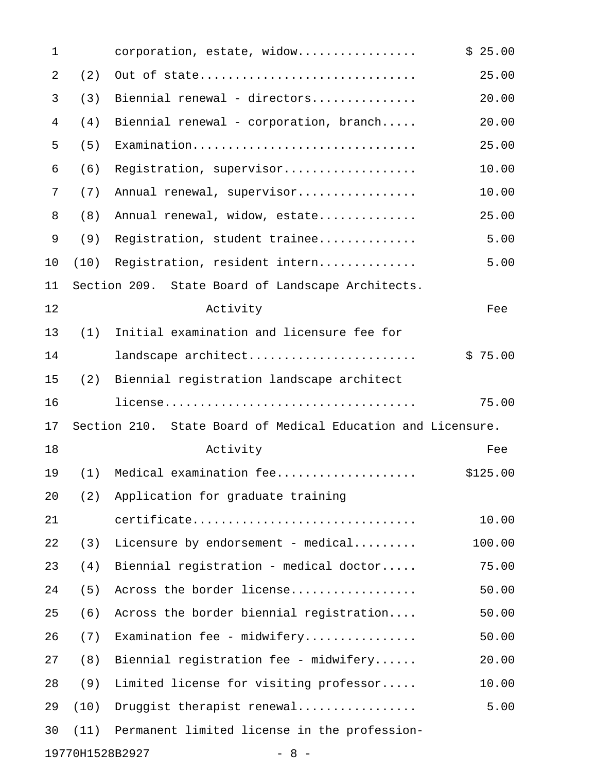| $\mathbf 1$ |      | corporation, estate, widow                                   | \$25.00  |
|-------------|------|--------------------------------------------------------------|----------|
| 2           | (2)  | Out of state                                                 | 25.00    |
| 3           | (3)  | Biennial renewal - directors                                 | 20.00    |
| 4           | (4)  | Biennial renewal - corporation, branch                       | 20.00    |
| 5           | (5)  | Examination                                                  | 25.00    |
| 6           | (6)  | Registration, supervisor                                     | 10.00    |
| 7           | (7)  | Annual renewal, supervisor                                   | 10.00    |
| 8           | (8)  | Annual renewal, widow, estate                                | 25.00    |
| 9           | (9)  | Registration, student trainee                                | 5.00     |
| 10          | (10) | Registration, resident intern                                | 5.00     |
| 11          |      | Section 209. State Board of Landscape Architects.            |          |
| 12          |      | Activity                                                     | Fee      |
| 13          | (1)  | Initial examination and licensure fee for                    |          |
| 14          |      | landscape architect                                          | \$75.00  |
| 15          | (2)  | Biennial registration landscape architect                    |          |
| 16          |      |                                                              | 75.00    |
| 17          |      | Section 210. State Board of Medical Education and Licensure. |          |
| 18          |      | Activity                                                     | Fee      |
| 19          | (1)  | Medical examination fee                                      | \$125.00 |
| 20          | (2)  | Application for graduate training                            |          |
| 21          |      |                                                              |          |
|             |      | certificate                                                  | 10.00    |
| 22          | (3)  | Licensure by endorsement - medical                           | 100.00   |
| 23          | (4)  | Biennial registration - medical doctor                       | 75.00    |
| 24          | (5)  | Across the border license                                    | 50.00    |
| 25          | (6)  | Across the border biennial registration                      | 50.00    |
| 26          | (7)  | Examination fee - midwifery                                  | 50.00    |
| 27          | (8)  | Biennial registration fee - midwifery                        | 20.00    |
| 28          | (9)  | Limited license for visiting professor                       | 10.00    |
| 29          | (10) | Druggist therapist renewal                                   | 5.00     |
| 30          | (11) | Permanent limited license in the profession-                 |          |

19770H1528B2927 - 8 -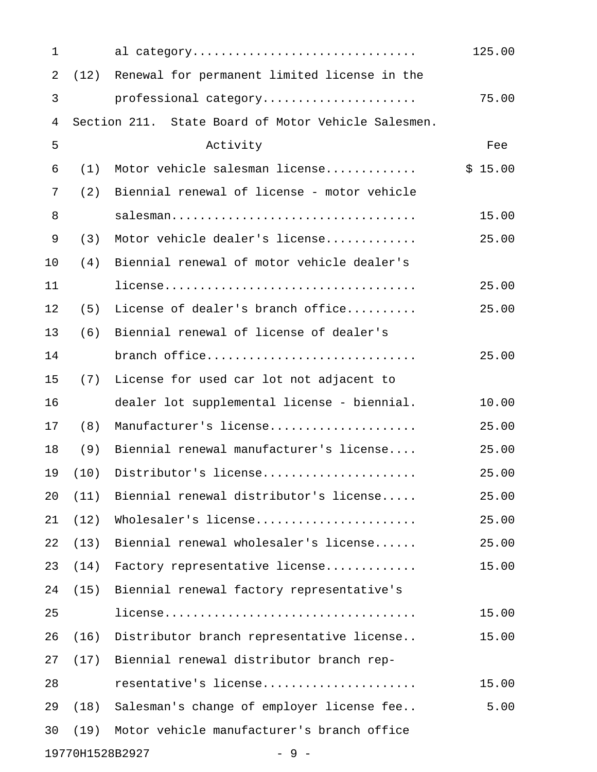| 1              |      | al category                                         | 125.00  |
|----------------|------|-----------------------------------------------------|---------|
| $\overline{2}$ | (12) | Renewal for permanent limited license in the        |         |
| 3              |      | professional category                               | 75.00   |
| 4              |      | Section 211. State Board of Motor Vehicle Salesmen. |         |
| 5              |      | Activity                                            | Fee     |
| 6              | (1)  | Motor vehicle salesman license                      | \$15.00 |
| 7              | (2)  | Biennial renewal of license - motor vehicle         |         |
| 8              |      | salesman                                            | 15.00   |
| 9              | (3)  | Motor vehicle dealer's license                      | 25.00   |
| 10             | (4)  | Biennial renewal of motor vehicle dealer's          |         |
| 11             |      |                                                     | 25.00   |
| 12             | (5)  | License of dealer's branch office                   | 25.00   |
| 13             | (6)  | Biennial renewal of license of dealer's             |         |
| 14             |      | branch office                                       | 25.00   |
| 15             | (7)  | License for used car lot not adjacent to            |         |
| 16             |      | dealer lot supplemental license - biennial.         | 10.00   |
| 17             | (8)  | Manufacturer's license                              | 25.00   |
| 18             | (9)  | Biennial renewal manufacturer's license             | 25.00   |
| 19             | (10) | Distributor's license                               | 25.00   |
| 20             | (11) | Biennial renewal distributor's license              | 25.00   |
| 21             | (12) | Wholesaler's license                                | 25.00   |
| 22             | (13) | Biennial renewal wholesaler's license               | 25.00   |
| 23             | (14) | Factory representative license                      | 15.00   |
| 24             | (15) | Biennial renewal factory representative's           |         |
| 25             |      |                                                     | 15.00   |
| 26             | (16) | Distributor branch representative license           | 15.00   |
| 27             | (17) | Biennial renewal distributor branch rep-            |         |
| 28             |      | resentative's license                               | 15.00   |
| 29             | (18) | Salesman's change of employer license fee           | 5.00    |
| 30             | (19) | Motor vehicle manufacturer's branch office          |         |
|                |      | 19770H1528B2927<br>$-9-$                            |         |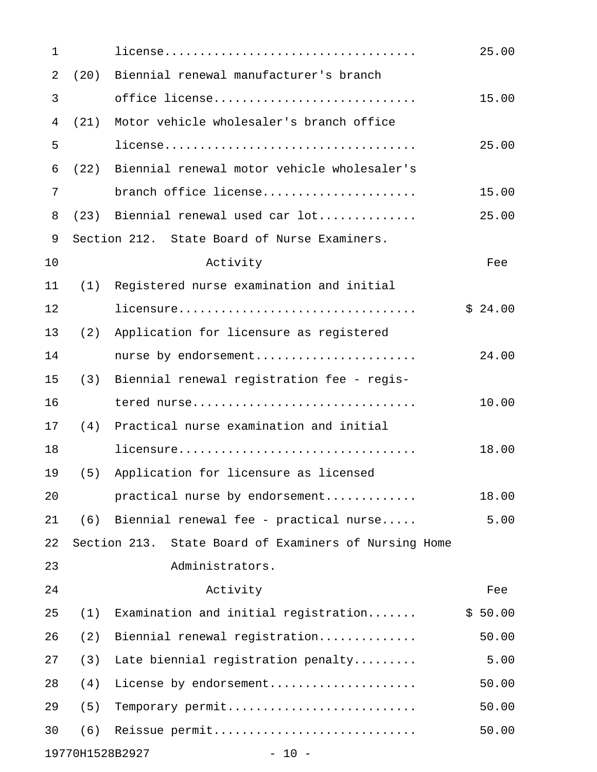| 1              |      |                                                       | 25.00   |
|----------------|------|-------------------------------------------------------|---------|
| $\overline{2}$ | (20) | Biennial renewal manufacturer's branch                |         |
| 3              |      | office license                                        | 15.00   |
| 4              | (21) | Motor vehicle wholesaler's branch office              |         |
| 5              |      |                                                       | 25.00   |
| 6              | (22) | Biennial renewal motor vehicle wholesaler's           |         |
| 7              |      | branch office license                                 | 15.00   |
| 8              |      | $(23)$ Biennial renewal used car $lot$                | 25.00   |
| 9              |      | Section 212. State Board of Nurse Examiners.          |         |
| 10             |      | Activity                                              | Fee     |
| 11             | (1)  | Registered nurse examination and initial              |         |
| 12             |      | licensure                                             | \$24.00 |
| 13             | (2)  | Application for licensure as registered               |         |
| 14             |      | nurse by endorsement                                  | 24.00   |
| 15             | (3)  | Biennial renewal registration fee - regis-            |         |
| 16             |      | tered nurse                                           | 10.00   |
| 17             | (4)  | Practical nurse examination and initial               |         |
| 18             |      | licensure                                             | 18.00   |
| 19             | (5)  | Application for licensure as licensed                 |         |
| 20             |      | practical nurse by endorsement                        | 18.00   |
| 21             |      | $(6)$ Biennial renewal fee - practical nurse          | 5.00    |
| 22             |      | Section 213. State Board of Examiners of Nursing Home |         |
| 23             |      | Administrators.                                       |         |
| 24             |      | Activity                                              | Fee     |
| 25             | (1)  | Examination and initial registration                  | \$50.00 |
| 26             | (2)  | Biennial renewal registration                         | 50.00   |
| 27             | (3)  | Late biennial registration penalty                    | 5.00    |
| 28             | (4)  | License by endorsement                                | 50.00   |
| 29             | (5)  | Temporary permit                                      | 50.00   |
| 30             | (6)  | Reissue permit                                        | 50.00   |
|                |      |                                                       |         |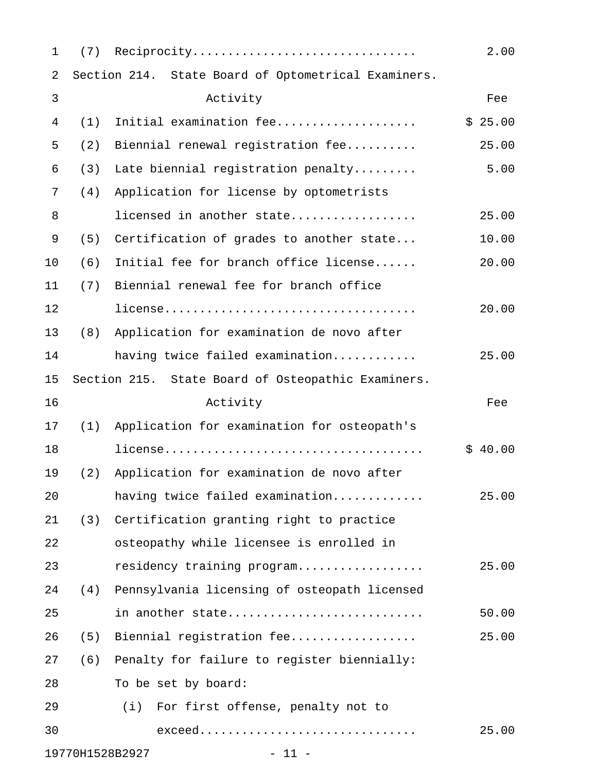| 1              | (7) | Reciprocity                                         | 2.00    |
|----------------|-----|-----------------------------------------------------|---------|
| $\sqrt{2}$     |     | Section 214. State Board of Optometrical Examiners. |         |
| 3              |     | Activity                                            | Fee     |
| $\overline{4}$ | (1) | Initial examination fee                             | \$25.00 |
| 5              | (2) | Biennial renewal registration fee                   | 25.00   |
| 6              | (3) | Late biennial registration penalty                  | 5.00    |
| 7              | (4) | Application for license by optometrists             |         |
| 8              |     | licensed in another state                           | 25.00   |
| 9              | (5) | Certification of grades to another state            | 10.00   |
| 10             | (6) | Initial fee for branch office license               | 20.00   |
| 11             | (7) | Biennial renewal fee for branch office              |         |
| 12             |     |                                                     | 20.00   |
| 13             | (8) | Application for examination de novo after           |         |
| 14             |     | having twice failed examination                     | 25.00   |
| 15             |     | Section 215. State Board of Osteopathic Examiners.  |         |
| 16             |     | Activity                                            | Fee     |
| 17             | (1) | Application for examination for osteopath's         |         |
| 18             |     |                                                     | \$40.00 |
| 19             | (2) | Application for examination de novo after           |         |
| 20             |     | having twice failed examination                     | 25.00   |
| 21             | (3) | Certification granting right to practice            |         |
| 22             |     | osteopathy while licensee is enrolled in            |         |
| 23             |     | residency training program                          | 25.00   |
| 24             | (4) | Pennsylvania licensing of osteopath licensed        |         |
| 25             |     | in another state                                    | 50.00   |
| 26             | (5) | Biennial registration fee                           | 25.00   |
| 27             | (6) | Penalty for failure to register biennially:         |         |
| 28             |     | To be set by board:                                 |         |
| 29             |     | (i) For first offense, penalty not to               |         |
| 30             |     | exceed                                              | 25.00   |
|                |     | 19770H1528B2927<br>$-11 -$                          |         |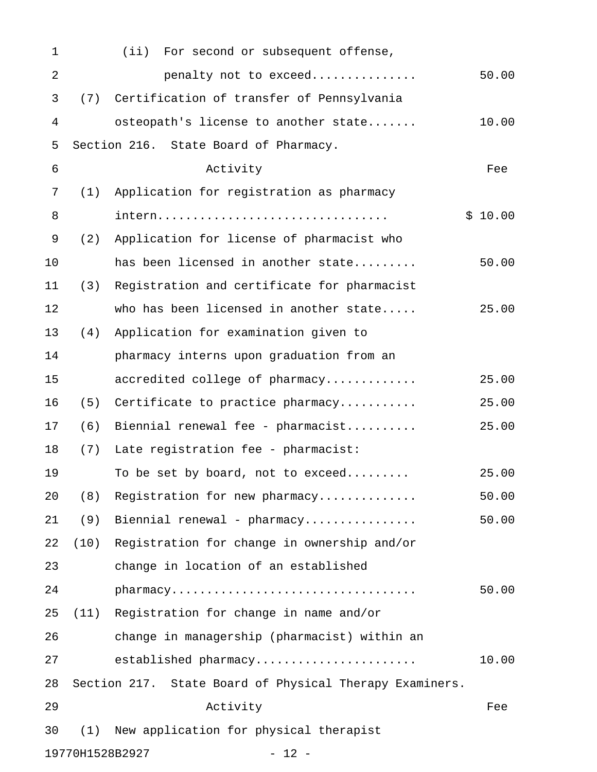| 1          |      | (iii)<br>For second or subsequent offense,              |         |
|------------|------|---------------------------------------------------------|---------|
| $\sqrt{2}$ |      | penalty not to exceed                                   | 50.00   |
| 3          | (7)  | Certification of transfer of Pennsylvania               |         |
| 4          |      | osteopath's license to another state                    | 10.00   |
| 5          |      | Section 216. State Board of Pharmacy.                   |         |
| 6          |      | Activity                                                | Fee     |
| 7          | (1)  | Application for registration as pharmacy                |         |
| 8          |      | intern                                                  | \$10.00 |
| 9          | (2)  | Application for license of pharmacist who               |         |
| 10         |      | has been licensed in another state                      | 50.00   |
| 11         | (3)  | Registration and certificate for pharmacist             |         |
| 12         |      | who has been licensed in another state                  | 25.00   |
| 13         | (4)  | Application for examination given to                    |         |
| 14         |      | pharmacy interns upon graduation from an                |         |
| 15         |      | accredited college of pharmacy                          | 25.00   |
| 16         | (5)  | Certificate to practice pharmacy                        | 25.00   |
| 17         | (6)  | Biennial renewal fee - pharmacist                       | 25.00   |
| 18         | (7)  | Late registration fee - pharmacist:                     |         |
| 19         |      | To be set by board, not to exceed                       | 25.00   |
| 20         | (8)  | Registration for new pharmacy                           | 50.00   |
| 21         | (9)  | Biennial renewal - pharmacy                             | 50.00   |
| 22         | (10) | Registration for change in ownership and/or             |         |
| 23         |      | change in location of an established                    |         |
| 24         |      | pharmacy                                                | 50.00   |
| 25         |      | (11) Registration for change in name and/or             |         |
| 26         |      | change in managership (pharmacist) within an            |         |
| 27         |      | established pharmacy                                    | 10.00   |
| 28         |      | Section 217. State Board of Physical Therapy Examiners. |         |
| 29         |      | Activity                                                | Fee     |
| 30         | (1)  | New application for physical therapist                  |         |
|            |      | 19770H1528B2927<br>$-12 -$                              |         |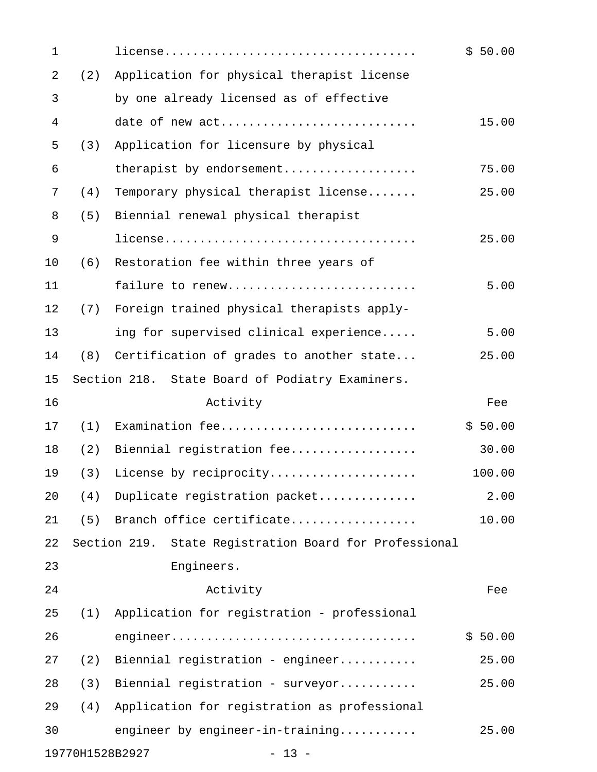| $\mathbf 1$ |     |                                                        | \$50.00 |
|-------------|-----|--------------------------------------------------------|---------|
| 2           | (2) | Application for physical therapist license             |         |
| 3           |     | by one already licensed as of effective                |         |
| 4           |     | date of new act                                        | 15.00   |
| 5           | (3) | Application for licensure by physical                  |         |
| 6           |     | therapist by endorsement                               | 75.00   |
| 7           | (4) | Temporary physical therapist license                   | 25.00   |
| 8           | (5) | Biennial renewal physical therapist                    |         |
| 9           |     |                                                        | 25.00   |
| 10          | (6) | Restoration fee within three years of                  |         |
| 11          |     | failure to renew                                       | 5.00    |
| 12          | (7) | Foreign trained physical therapists apply-             |         |
| 13          |     | ing for supervised clinical experience                 | 5.00    |
| 14          | (8) | Certification of grades to another state               | 25.00   |
| 15          |     | Section 218. State Board of Podiatry Examiners.        |         |
| 16          |     | Activity                                               | Fee     |
| 17          | (1) | Examination fee                                        | \$50.00 |
| 18          | (2) | Biennial registration fee                              | 30.00   |
| 19          | (3) | License by reciprocity                                 | 100.00  |
| 20          | (4) | Duplicate registration packet                          | 2.00    |
| 21          | (5) | Branch office certificate                              | 10.00   |
| 22          |     | Section 219. State Registration Board for Professional |         |
| 23          |     | Engineers.                                             |         |
| 24          |     | Activity                                               | Fee     |
| 25          | (1) | Application for registration - professional            |         |
| 26          |     |                                                        | \$50.00 |
| 27          | (2) | Biennial registration - engineer                       | 25.00   |
| 28          | (3) | Biennial registration - surveyor                       | 25.00   |
| 29          | (4) | Application for registration as professional           |         |
| 30          |     | engineer by engineer-in-training                       | 25.00   |
|             |     | 19770H1528B2927<br>$-13 -$                             |         |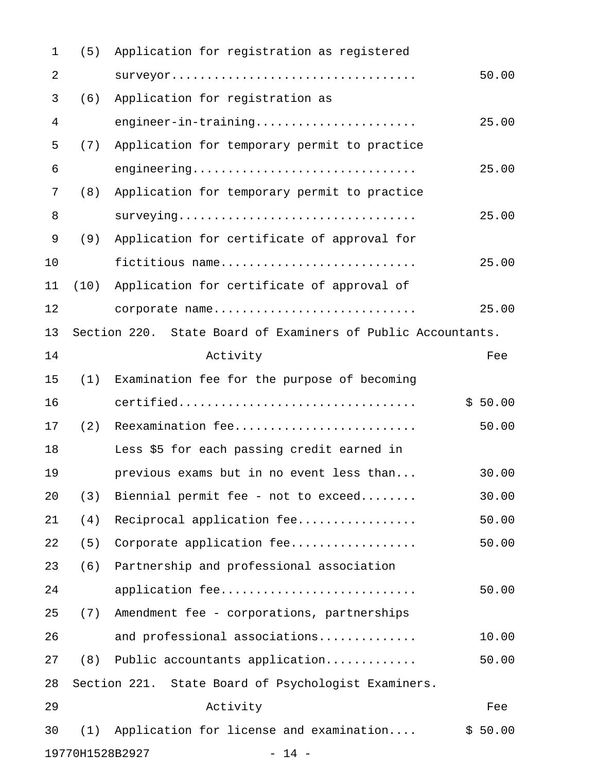| $\mathbf{1}$ | (5)  | Application for registration as registered                   |         |  |
|--------------|------|--------------------------------------------------------------|---------|--|
| 2            |      |                                                              | 50.00   |  |
| 3            | (6)  | Application for registration as                              |         |  |
| 4            |      | engineer-in-training                                         | 25.00   |  |
| 5            | (7)  | Application for temporary permit to practice                 |         |  |
| 6            |      | engineering                                                  | 25.00   |  |
| 7            | (8)  | Application for temporary permit to practice                 |         |  |
| 8            |      | surveying                                                    | 25.00   |  |
| 9            | (9)  | Application for certificate of approval for                  |         |  |
| 10           |      | fictitious name                                              | 25.00   |  |
| 11           | (10) | Application for certificate of approval of                   |         |  |
| 12           |      | corporate name                                               | 25.00   |  |
| 13           |      | Section 220. State Board of Examiners of Public Accountants. |         |  |
| 14           |      | Activity                                                     | Fee     |  |
| 15           | (1)  | Examination fee for the purpose of becoming                  |         |  |
| 16           |      | certified                                                    | \$50.00 |  |
| 17           | (2)  | Reexamination fee                                            | 50.00   |  |
| 18           |      | Less \$5 for each passing credit earned in                   |         |  |
| 19           |      | previous exams but in no event less than                     | 30.00   |  |
| 20           | (3)  | Biennial permit fee - not to exceed                          | 30.00   |  |
| 21           | (4)  | Reciprocal application fee                                   | 50.00   |  |
| 22           | (5)  | Corporate application fee                                    | 50.00   |  |
| 23           | (6)  | Partnership and professional association                     |         |  |
| 24           |      | application fee                                              | 50.00   |  |
| 25           | (7)  | Amendment fee - corporations, partnerships                   |         |  |
| 26           |      | and professional associations                                | 10.00   |  |
| 27           | (8)  | Public accountants application                               | 50.00   |  |
| 28           |      | Section 221. State Board of Psychologist Examiners.          |         |  |
| 29           |      | Activity                                                     | Fee     |  |
| 30           | (1)  | Application for license and examination                      | \$50.00 |  |
|              |      | 19770H1528B2927<br>$-14 -$                                   |         |  |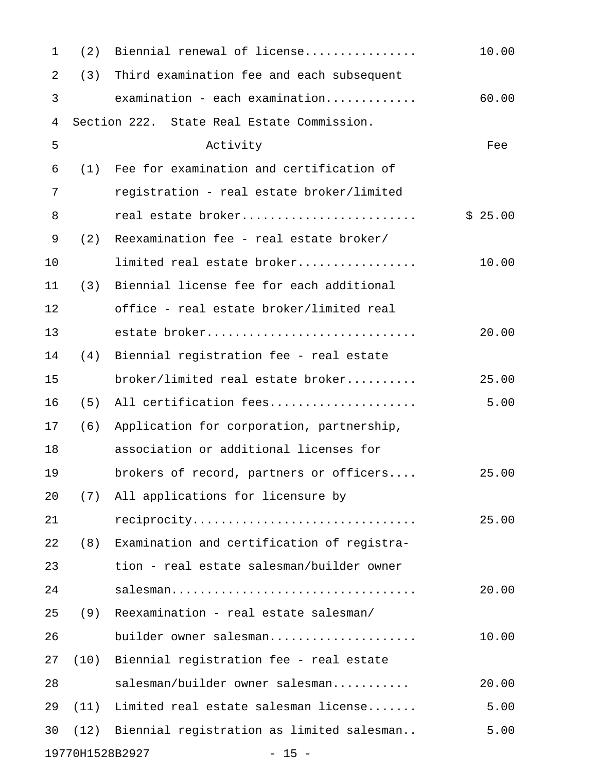| $\mathbf 1$                | (2)                                        | Biennial renewal of license                | 10.00   |
|----------------------------|--------------------------------------------|--------------------------------------------|---------|
| $\overline{2}$             | (3)                                        | Third examination fee and each subsequent  |         |
| 3                          |                                            | $examination - each examination$           | 60.00   |
| $\overline{4}$             | Section 222. State Real Estate Commission. |                                            |         |
| 5                          |                                            | Activity                                   | Fee     |
| 6                          | (1)                                        | Fee for examination and certification of   |         |
| 7                          |                                            | registration - real estate broker/limited  |         |
| 8                          |                                            | real estate broker                         | \$25.00 |
| 9                          | (2)                                        | Reexamination fee - real estate broker/    |         |
| 10                         |                                            | limited real estate broker                 | 10.00   |
| 11                         | (3)                                        | Biennial license fee for each additional   |         |
| 12                         |                                            | office - real estate broker/limited real   |         |
| 13                         |                                            | estate broker                              | 20.00   |
| 14                         | (4)                                        | Biennial registration fee - real estate    |         |
| 15                         |                                            | broker/limited real estate broker          | 25.00   |
| 16                         | (5)                                        | All certification fees                     | 5.00    |
| 17                         | (6)                                        | Application for corporation, partnership,  |         |
| 18                         |                                            | association or additional licenses for     |         |
| 19                         |                                            | brokers of record, partners or officers    | 25.00   |
| 20                         |                                            | (7) All applications for licensure by      |         |
| 21                         |                                            | reciprocity                                | 25.00   |
| 22                         | (8)                                        | Examination and certification of registra- |         |
| 23                         |                                            | tion - real estate salesman/builder owner  |         |
| 24                         |                                            | salesman                                   | 20.00   |
| 25                         | (9)                                        | Reexamination - real estate salesman/      |         |
| 26                         |                                            | builder owner salesman                     | 10.00   |
| 27                         | (10)                                       | Biennial registration fee - real estate    |         |
| 28                         |                                            | salesman/builder owner salesman            | 20.00   |
| 29                         | (11)                                       | Limited real estate salesman license       | 5.00    |
| 30                         | (12)                                       | Biennial registration as limited salesman  | 5.00    |
| 19770H1528B2927<br>$-15 -$ |                                            |                                            |         |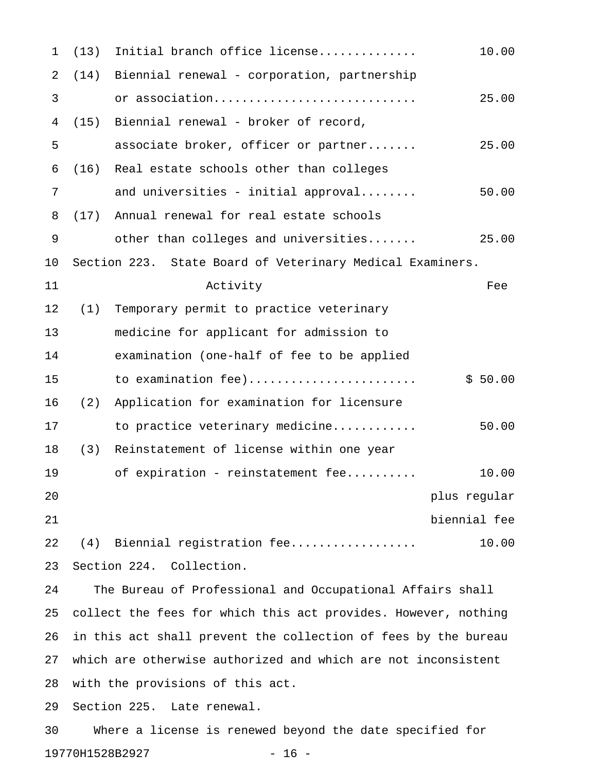| $\mathbf 1$ | (13)                                                      | Initial branch office license               | 10.00        |  |
|-------------|-----------------------------------------------------------|---------------------------------------------|--------------|--|
| 2           | (14)                                                      | Biennial renewal - corporation, partnership |              |  |
| 3           |                                                           | or association                              | 25.00        |  |
| 4           | (15)                                                      | Biennial renewal - broker of record,        |              |  |
| 5           |                                                           | associate broker, officer or partner        | 25.00        |  |
| 6           | (16)                                                      | Real estate schools other than colleges     |              |  |
| 7           |                                                           | and universities - initial approval         | 50.00        |  |
| 8           | (17)                                                      | Annual renewal for real estate schools      |              |  |
| 9           |                                                           | other than colleges and universities        | 25.00        |  |
| 10          | Section 223. State Board of Veterinary Medical Examiners. |                                             |              |  |
| 11          |                                                           | Activity                                    | Fee          |  |
| 12          | (1)                                                       | Temporary permit to practice veterinary     |              |  |
| 13          |                                                           | medicine for applicant for admission to     |              |  |
| 14          |                                                           | examination (one-half of fee to be applied  |              |  |
| 15          |                                                           | to examination fee)                         | \$50.00      |  |
| 16          | (2)                                                       | Application for examination for licensure   |              |  |
| 17          |                                                           | to practice veterinary medicine             | 50.00        |  |
| 18          | (3)                                                       | Reinstatement of license within one year    |              |  |
| 19          |                                                           | of expiration - reinstatement fee           | 10.00        |  |
| 20          |                                                           |                                             | plus regular |  |
| $2\sqrt{1}$ |                                                           |                                             | biennial fee |  |
| 22          | (4)                                                       | Biennial registration fee                   | 10.00        |  |
| 23          | Section 224.<br>Collection.                               |                                             |              |  |

24 The Bureau of Professional and Occupational Affairs shall 25 collect the fees for which this act provides. However, nothing 26 in this act shall prevent the collection of fees by the bureau 27 which are otherwise authorized and which are not inconsistent 28 with the provisions of this act.

29 Section 225. Late renewal.

30 Where a license is renewed beyond the date specified for 19770H1528B2927 - 16 -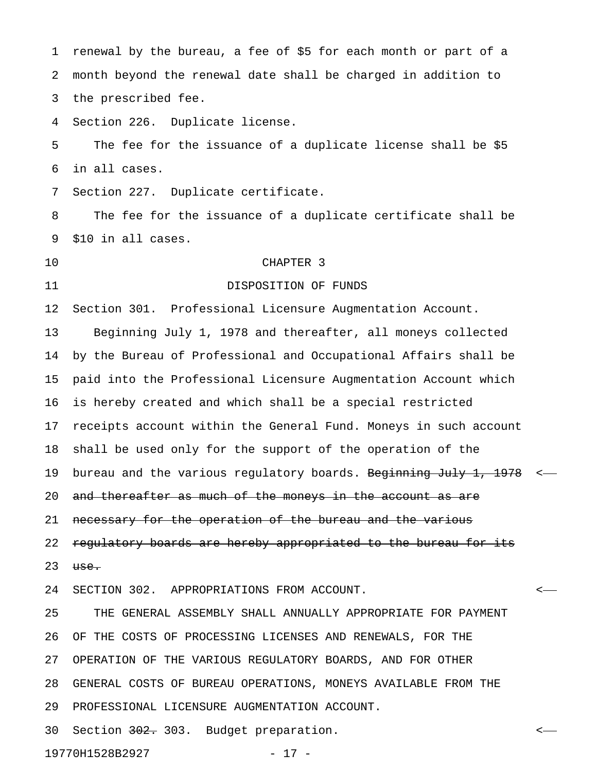1 renewal by the bureau, a fee of \$5 for each month or part of a 2 month beyond the renewal date shall be charged in addition to 3 the prescribed fee. 4 Section 226. Duplicate license. 5 The fee for the issuance of a duplicate license shall be \$5 6 in all cases. 7 Section 227. Duplicate certificate. 8 The fee for the issuance of a duplicate certificate shall be 9 \$10 in all cases. 10 CHAPTER 3 11 DISPOSITION OF FUNDS 12 Section 301. Professional Licensure Augmentation Account. 13 Beginning July 1, 1978 and thereafter, all moneys collected 14 by the Bureau of Professional and Occupational Affairs shall be 15 paid into the Professional Licensure Augmentation Account which 16 is hereby created and which shall be a special restricted 17 receipts account within the General Fund. Moneys in such account 18 shall be used only for the support of the operation of the 19 bureau and the various regulatory boards. Beginning July 1, 1978 <-20 and thereafter as much of the moneys in the account as are 21 necessary for the operation of the bureau and the various 22 regulatory boards are hereby appropriated to the bureau for its  $23$  use. 24 SECTION 302. APPROPRIATIONS FROM ACCOUNT. < 25 THE GENERAL ASSEMBLY SHALL ANNUALLY APPROPRIATE FOR PAYMENT 26 OF THE COSTS OF PROCESSING LICENSES AND RENEWALS, FOR THE 27 OPERATION OF THE VARIOUS REGULATORY BOARDS, AND FOR OTHER 28 GENERAL COSTS OF BUREAU OPERATIONS, MONEYS AVAILABLE FROM THE 29 PROFESSIONAL LICENSURE AUGMENTATION ACCOUNT. 30 Section <del>302.</del> 303. Budget preparation.  $\leftarrow$ 

19770H1528B2927 - 17 -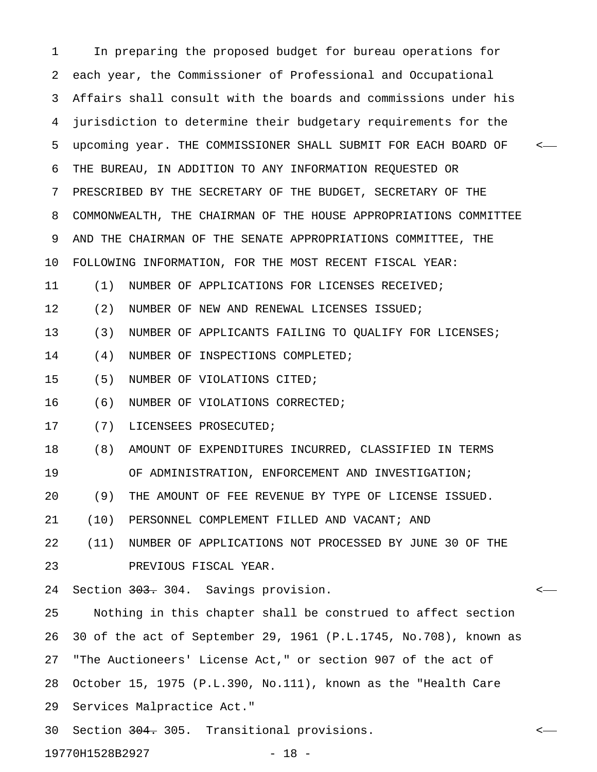1 In preparing the proposed budget for bureau operations for 2 each year, the Commissioner of Professional and Occupational 3 Affairs shall consult with the boards and commissions under his 4 jurisdiction to determine their budgetary requirements for the 5 upcoming year. THE COMMISSIONER SHALL SUBMIT FOR EACH BOARD OF < 6 THE BUREAU, IN ADDITION TO ANY INFORMATION REQUESTED OR 7 PRESCRIBED BY THE SECRETARY OF THE BUDGET, SECRETARY OF THE 8 COMMONWEALTH, THE CHAIRMAN OF THE HOUSE APPROPRIATIONS COMMITTEE 9 AND THE CHAIRMAN OF THE SENATE APPROPRIATIONS COMMITTEE, THE 10 FOLLOWING INFORMATION, FOR THE MOST RECENT FISCAL YEAR: 11 (1) NUMBER OF APPLICATIONS FOR LICENSES RECEIVED; 12 (2) NUMBER OF NEW AND RENEWAL LICENSES ISSUED; 13 (3) NUMBER OF APPLICANTS FAILING TO QUALIFY FOR LICENSES; 14 (4) NUMBER OF INSPECTIONS COMPLETED; 15 (5) NUMBER OF VIOLATIONS CITED; 16 (6) NUMBER OF VIOLATIONS CORRECTED; 17 (7) LICENSEES PROSECUTED; 18 (8) AMOUNT OF EXPENDITURES INCURRED, CLASSIFIED IN TERMS 19 OF ADMINISTRATION, ENFORCEMENT AND INVESTIGATION; 20 (9) THE AMOUNT OF FEE REVENUE BY TYPE OF LICENSE ISSUED. 21 (10) PERSONNEL COMPLEMENT FILLED AND VACANT; AND 22 (11) NUMBER OF APPLICATIONS NOT PROCESSED BY JUNE 30 OF THE 23 PREVIOUS FISCAL YEAR. 24 Section <del>303.</del> 304. Savings provision.  $\leftarrow$ 25 Nothing in this chapter shall be construed to affect section 26 30 of the act of September 29, 1961 (P.L.1745, No.708), known as 27 "The Auctioneers' License Act," or section 907 of the act of 28 October 15, 1975 (P.L.390, No.111), known as the "Health Care 29 Services Malpractice Act." 30 Section <del>304.</del> 305. Transitional provisions.  $\leftarrow$ 19770H1528B2927 - 18 -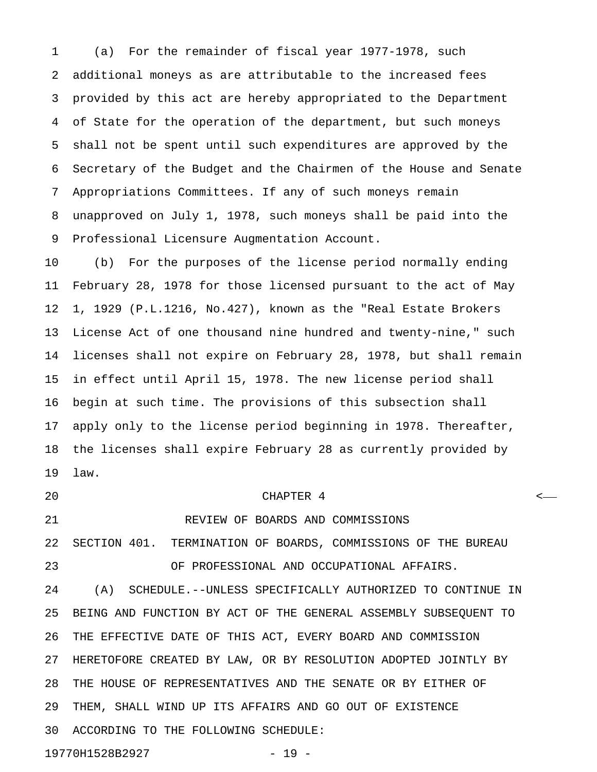1 (a) For the remainder of fiscal year 1977-1978, such 2 additional moneys as are attributable to the increased fees 3 provided by this act are hereby appropriated to the Department 4 of State for the operation of the department, but such moneys 5 shall not be spent until such expenditures are approved by the 6 Secretary of the Budget and the Chairmen of the House and Senate 7 Appropriations Committees. If any of such moneys remain 8 unapproved on July 1, 1978, such moneys shall be paid into the 9 Professional Licensure Augmentation Account.

10 (b) For the purposes of the license period normally ending 11 February 28, 1978 for those licensed pursuant to the act of May 12 1, 1929 (P.L.1216, No.427), known as the "Real Estate Brokers 13 License Act of one thousand nine hundred and twenty-nine," such 14 licenses shall not expire on February 28, 1978, but shall remain 15 in effect until April 15, 1978. The new license period shall 16 begin at such time. The provisions of this subsection shall 17 apply only to the license period beginning in 1978. Thereafter, 18 the licenses shall expire February 28 as currently provided by 19 law.

### 20 CHAPTER 4 <

21 REVIEW OF BOARDS AND COMMISSIONS 22 SECTION 401. TERMINATION OF BOARDS, COMMISSIONS OF THE BUREAU

23 OF PROFESSIONAL AND OCCUPATIONAL AFFAIRS.

24 (A) SCHEDULE.--UNLESS SPECIFICALLY AUTHORIZED TO CONTINUE IN 25 BEING AND FUNCTION BY ACT OF THE GENERAL ASSEMBLY SUBSEQUENT TO 26 THE EFFECTIVE DATE OF THIS ACT, EVERY BOARD AND COMMISSION 27 HERETOFORE CREATED BY LAW, OR BY RESOLUTION ADOPTED JOINTLY BY 28 THE HOUSE OF REPRESENTATIVES AND THE SENATE OR BY EITHER OF 29 THEM, SHALL WIND UP ITS AFFAIRS AND GO OUT OF EXISTENCE 30 ACCORDING TO THE FOLLOWING SCHEDULE:

19770H1528B2927 - 19 -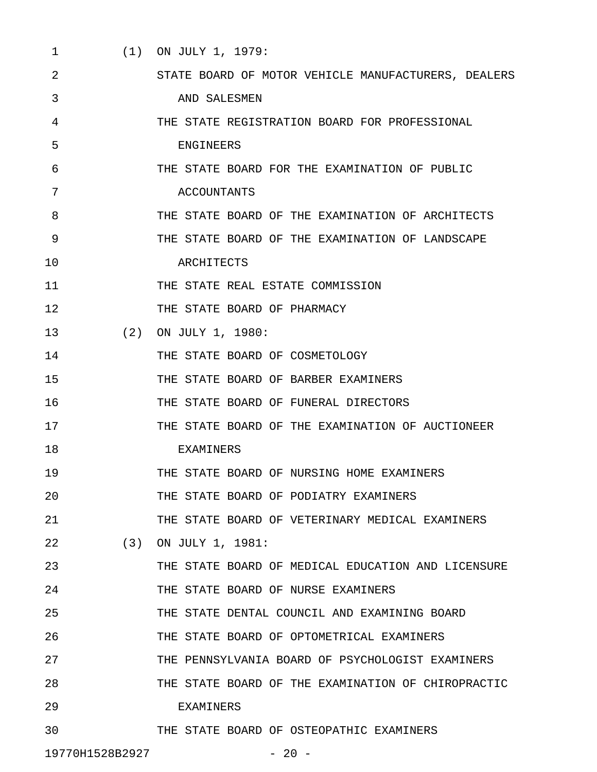1 (1) ON JULY 1, 1979: 2 STATE BOARD OF MOTOR VEHICLE MANUFACTURERS, DEALERS 3 AND SALESMEN 4 THE STATE REGISTRATION BOARD FOR PROFESSIONAL 5 ENGINEERS 6 THE STATE BOARD FOR THE EXAMINATION OF PUBLIC 7 ACCOUNTANTS 8 THE STATE BOARD OF THE EXAMINATION OF ARCHITECTS 9 THE STATE BOARD OF THE EXAMINATION OF LANDSCAPE 10 ARCHITECTS 11 THE STATE REAL ESTATE COMMISSION 12 THE STATE BOARD OF PHARMACY 13 (2) ON JULY 1, 1980: 14 THE STATE BOARD OF COSMETOLOGY 15 THE STATE BOARD OF BARBER EXAMINERS 16 THE STATE BOARD OF FUNERAL DIRECTORS 17 THE STATE BOARD OF THE EXAMINATION OF AUCTIONEER 18 EXAMINERS 19 THE STATE BOARD OF NURSING HOME EXAMINERS 20 THE STATE BOARD OF PODIATRY EXAMINERS 21 THE STATE BOARD OF VETERINARY MEDICAL EXAMINERS 22 (3) ON JULY 1, 1981: 23 THE STATE BOARD OF MEDICAL EDUCATION AND LICENSURE 24 THE STATE BOARD OF NURSE EXAMINERS 25 THE STATE DENTAL COUNCIL AND EXAMINING BOARD 26 THE STATE BOARD OF OPTOMETRICAL EXAMINERS 27 THE PENNSYLVANIA BOARD OF PSYCHOLOGIST EXAMINERS 28 THE STATE BOARD OF THE EXAMINATION OF CHIROPRACTIC 29 EXAMINERS 30 THE STATE BOARD OF OSTEOPATHIC EXAMINERS 19770H1528B2927 - 20 -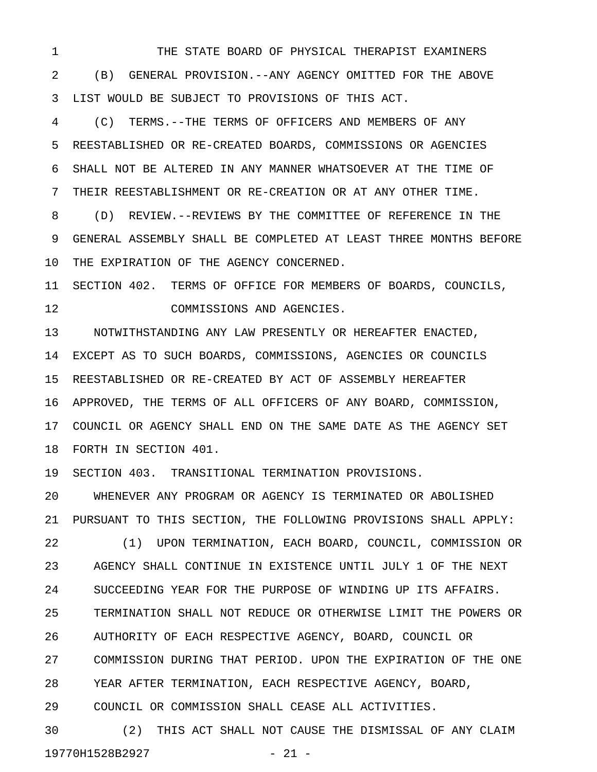1 THE STATE BOARD OF PHYSICAL THERAPIST EXAMINERS 2 (B) GENERAL PROVISION.--ANY AGENCY OMITTED FOR THE ABOVE 3 LIST WOULD BE SUBJECT TO PROVISIONS OF THIS ACT.

4 (C) TERMS.--THE TERMS OF OFFICERS AND MEMBERS OF ANY 5 REESTABLISHED OR RE-CREATED BOARDS, COMMISSIONS OR AGENCIES 6 SHALL NOT BE ALTERED IN ANY MANNER WHATSOEVER AT THE TIME OF 7 THEIR REESTABLISHMENT OR RE-CREATION OR AT ANY OTHER TIME.

8 (D) REVIEW.--REVIEWS BY THE COMMITTEE OF REFERENCE IN THE 9 GENERAL ASSEMBLY SHALL BE COMPLETED AT LEAST THREE MONTHS BEFORE 10 THE EXPIRATION OF THE AGENCY CONCERNED.

11 SECTION 402. TERMS OF OFFICE FOR MEMBERS OF BOARDS, COUNCILS, 12 COMMISSIONS AND AGENCIES.

13 NOTWITHSTANDING ANY LAW PRESENTLY OR HEREAFTER ENACTED, 14 EXCEPT AS TO SUCH BOARDS, COMMISSIONS, AGENCIES OR COUNCILS 15 REESTABLISHED OR RE-CREATED BY ACT OF ASSEMBLY HEREAFTER 16 APPROVED, THE TERMS OF ALL OFFICERS OF ANY BOARD, COMMISSION, 17 COUNCIL OR AGENCY SHALL END ON THE SAME DATE AS THE AGENCY SET 18 FORTH IN SECTION 401.

19 SECTION 403. TRANSITIONAL TERMINATION PROVISIONS.

20 WHENEVER ANY PROGRAM OR AGENCY IS TERMINATED OR ABOLISHED 21 PURSUANT TO THIS SECTION, THE FOLLOWING PROVISIONS SHALL APPLY:

22 (1) UPON TERMINATION, EACH BOARD, COUNCIL, COMMISSION OR 23 AGENCY SHALL CONTINUE IN EXISTENCE UNTIL JULY 1 OF THE NEXT 24 SUCCEEDING YEAR FOR THE PURPOSE OF WINDING UP ITS AFFAIRS. 25 TERMINATION SHALL NOT REDUCE OR OTHERWISE LIMIT THE POWERS OR 26 AUTHORITY OF EACH RESPECTIVE AGENCY, BOARD, COUNCIL OR 27 COMMISSION DURING THAT PERIOD. UPON THE EXPIRATION OF THE ONE 28 YEAR AFTER TERMINATION, EACH RESPECTIVE AGENCY, BOARD,

29 COUNCIL OR COMMISSION SHALL CEASE ALL ACTIVITIES.

30 (2) THIS ACT SHALL NOT CAUSE THE DISMISSAL OF ANY CLAIM 19770H1528B2927 - 21 -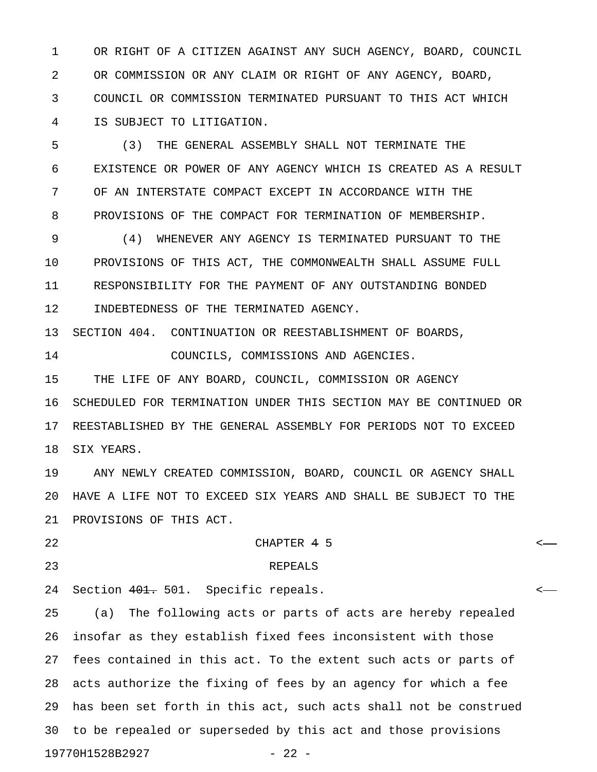1 OR RIGHT OF A CITIZEN AGAINST ANY SUCH AGENCY, BOARD, COUNCIL 2 OR COMMISSION OR ANY CLAIM OR RIGHT OF ANY AGENCY, BOARD, 3 COUNCIL OR COMMISSION TERMINATED PURSUANT TO THIS ACT WHICH 4 IS SUBJECT TO LITIGATION.

5 (3) THE GENERAL ASSEMBLY SHALL NOT TERMINATE THE 6 EXISTENCE OR POWER OF ANY AGENCY WHICH IS CREATED AS A RESULT 7 OF AN INTERSTATE COMPACT EXCEPT IN ACCORDANCE WITH THE 8 PROVISIONS OF THE COMPACT FOR TERMINATION OF MEMBERSHIP.

9 (4) WHENEVER ANY AGENCY IS TERMINATED PURSUANT TO THE 10 PROVISIONS OF THIS ACT, THE COMMONWEALTH SHALL ASSUME FULL 11 RESPONSIBILITY FOR THE PAYMENT OF ANY OUTSTANDING BONDED 12 INDEBTEDNESS OF THE TERMINATED AGENCY.

13 SECTION 404. CONTINUATION OR REESTABLISHMENT OF BOARDS,

14 COUNCILS, COMMISSIONS AND AGENCIES.

15 THE LIFE OF ANY BOARD, COUNCIL, COMMISSION OR AGENCY 16 SCHEDULED FOR TERMINATION UNDER THIS SECTION MAY BE CONTINUED OR 17 REESTABLISHED BY THE GENERAL ASSEMBLY FOR PERIODS NOT TO EXCEED 18 SIX YEARS.

19 ANY NEWLY CREATED COMMISSION, BOARD, COUNCIL OR AGENCY SHALL 20 HAVE A LIFE NOT TO EXCEED SIX YEARS AND SHALL BE SUBJECT TO THE 21 PROVISIONS OF THIS ACT.

22 CHAPTER 4 5 <

23 REPEALS

24 Section 401. 501. Specific repeals.  $\leftarrow$ 

25 (a) The following acts or parts of acts are hereby repealed 26 insofar as they establish fixed fees inconsistent with those 27 fees contained in this act. To the extent such acts or parts of 28 acts authorize the fixing of fees by an agency for which a fee 29 has been set forth in this act, such acts shall not be construed 30 to be repealed or superseded by this act and those provisions 19770H1528B2927 - 22 -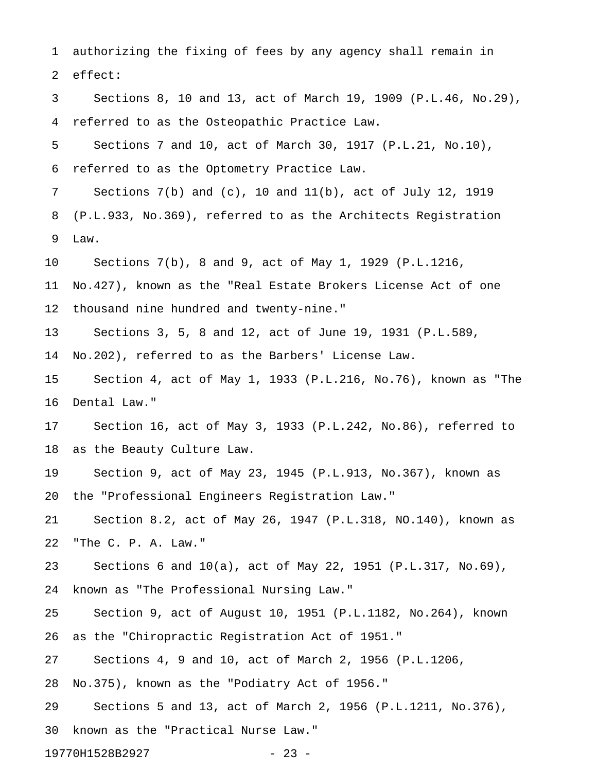1 authorizing the fixing of fees by any agency shall remain in 2 effect: 3 Sections 8, 10 and 13, act of March 19, 1909 (P.L.46, No.29), 4 referred to as the Osteopathic Practice Law. 5 Sections 7 and 10, act of March 30, 1917 (P.L.21, No.10), 6 referred to as the Optometry Practice Law. 7 Sections 7(b) and (c), 10 and 11(b), act of July 12, 1919 8 (P.L.933, No.369), referred to as the Architects Registration 9 Law. 10 Sections 7(b), 8 and 9, act of May 1, 1929 (P.L.1216, 11 No.427), known as the "Real Estate Brokers License Act of one 12 thousand nine hundred and twenty-nine." 13 Sections 3, 5, 8 and 12, act of June 19, 1931 (P.L.589, 14 No.202), referred to as the Barbers' License Law. 15 Section 4, act of May 1, 1933 (P.L.216, No.76), known as "The 16 Dental Law." 17 Section 16, act of May 3, 1933 (P.L.242, No.86), referred to 18 as the Beauty Culture Law. 19 Section 9, act of May 23, 1945 (P.L.913, No.367), known as 20 the "Professional Engineers Registration Law." 21 Section 8.2, act of May 26, 1947 (P.L.318, NO.140), known as 22 "The C. P. A. Law." 23 Sections 6 and 10(a), act of May 22, 1951 (P.L.317, No.69), 24 known as "The Professional Nursing Law." 25 Section 9, act of August 10, 1951 (P.L.1182, No.264), known 26 as the "Chiropractic Registration Act of 1951." 27 Sections 4, 9 and 10, act of March 2, 1956 (P.L.1206, 28 No.375), known as the "Podiatry Act of 1956." 29 Sections 5 and 13, act of March 2, 1956 (P.L.1211, No.376), 30 known as the "Practical Nurse Law."

19770H1528B2927 - 23 -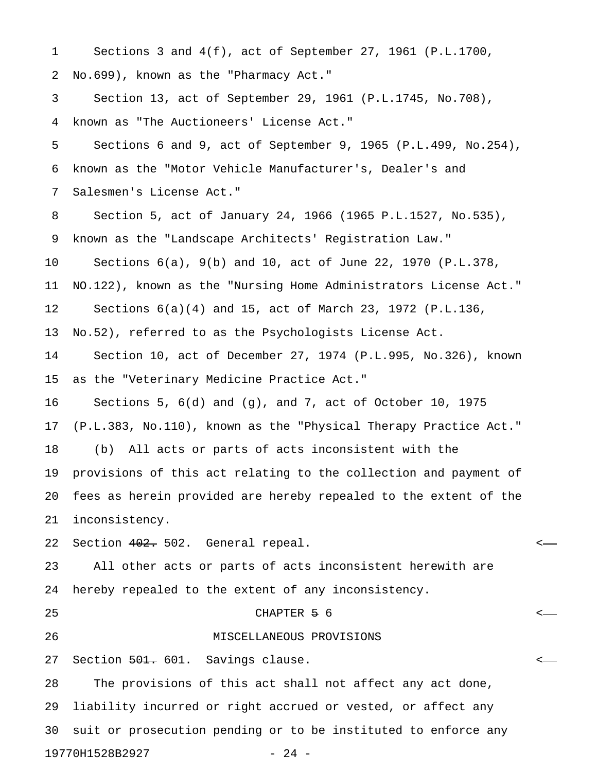1 Sections 3 and 4(f), act of September 27, 1961 (P.L.1700, 2 No.699), known as the "Pharmacy Act." 3 Section 13, act of September 29, 1961 (P.L.1745, No.708), 4 known as "The Auctioneers' License Act." 5 Sections 6 and 9, act of September 9, 1965 (P.L.499, No.254), 6 known as the "Motor Vehicle Manufacturer's, Dealer's and 7 Salesmen's License Act." 8 Section 5, act of January 24, 1966 (1965 P.L.1527, No.535), 9 known as the "Landscape Architects' Registration Law."

10 Sections 6(a), 9(b) and 10, act of June 22, 1970 (P.L.378,

11 NO.122), known as the "Nursing Home Administrators License Act."

12 Sections 6(a)(4) and 15, act of March 23, 1972 (P.L.136,

13 No.52), referred to as the Psychologists License Act.

14 Section 10, act of December 27, 1974 (P.L.995, No.326), known 15 as the "Veterinary Medicine Practice Act."

16 Sections 5, 6(d) and (g), and 7, act of October 10, 1975

17 (P.L.383, No.110), known as the "Physical Therapy Practice Act."

18 (b) All acts or parts of acts inconsistent with the

19 provisions of this act relating to the collection and payment of 20 fees as herein provided are hereby repealed to the extent of the

21 inconsistency.

22 Section 402. 502. General repeal. <

23 All other acts or parts of acts inconsistent herewith are 24 hereby repealed to the extent of any inconsistency.

25 CHAPTER 5 6 <

26 MISCELLANEOUS PROVISIONS

27 Section <del>501.</del> 601. Savings clause.  $\sim$ 

28 The provisions of this act shall not affect any act done, 29 liability incurred or right accrued or vested, or affect any 30 suit or prosecution pending or to be instituted to enforce any 19770H1528B2927 - 24 -